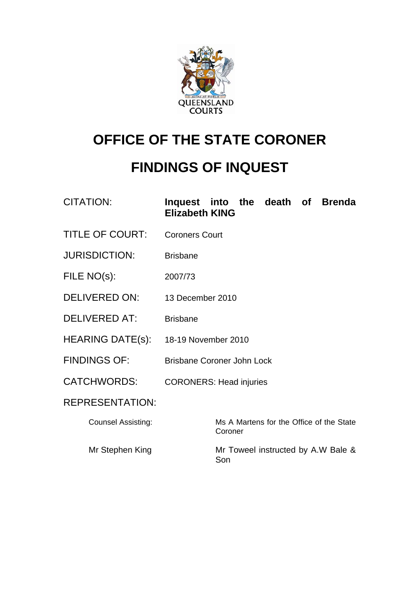

# **OFFICE OF THE STATE CORONER**

# **FINDINGS OF INQUEST**

# CITATION: **Inquest into the death of Brenda Elizabeth KING**

- TITLE OF COURT: Coroners Court
- JURISDICTION: Brisbane
- FILE NO(s): 2007/73
- DELIVERED ON: 13 December 2010
- DELIVERED AT: Brisbane
- HEARING DATE(s): 18-19 November 2010
- FINDINGS OF: Brisbane Coroner John Lock
- CATCHWORDS: CORONERS: Head injuries

# REPRESENTATION:

Counsel Assisting: Ms A Martens for the Office of the State Coroner Mr Stephen King Mr Toweel instructed by A.W Bale & Son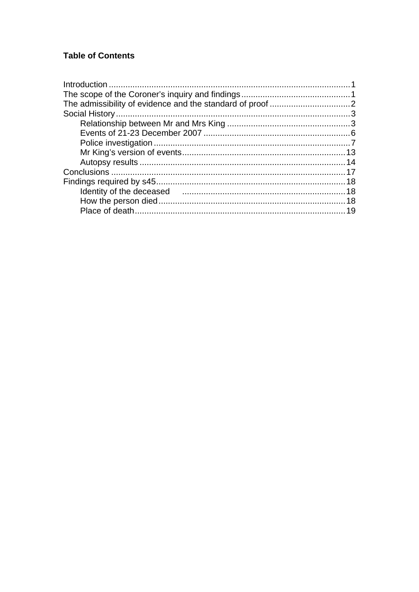# **Table of Contents**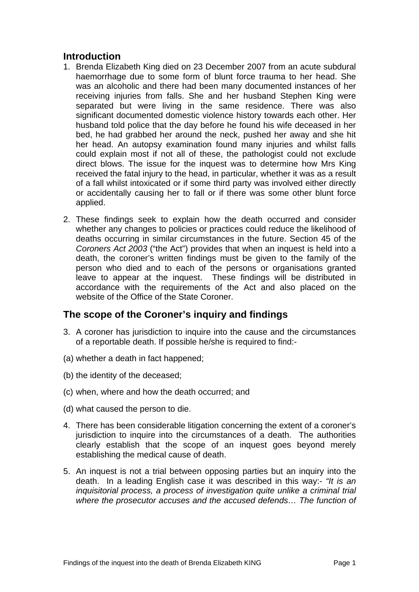## <span id="page-2-0"></span>**Introduction**

- 1. Brenda Elizabeth King died on 23 December 2007 from an acute subdural haemorrhage due to some form of blunt force trauma to her head. She was an alcoholic and there had been many documented instances of her receiving injuries from falls. She and her husband Stephen King were separated but were living in the same residence. There was also significant documented domestic violence history towards each other. Her husband told police that the day before he found his wife deceased in her bed, he had grabbed her around the neck, pushed her away and she hit her head. An autopsy examination found many injuries and whilst falls could explain most if not all of these, the pathologist could not exclude direct blows. The issue for the inquest was to determine how Mrs King received the fatal injury to the head, in particular, whether it was as a result of a fall whilst intoxicated or if some third party was involved either directly or accidentally causing her to fall or if there was some other blunt force applied.
- 2. These findings seek to explain how the death occurred and consider whether any changes to policies or practices could reduce the likelihood of deaths occurring in similar circumstances in the future. Section 45 of the *Coroners Act 2003* ("the Act") provides that when an inquest is held into a death, the coroner's written findings must be given to the family of the person who died and to each of the persons or organisations granted leave to appear at the inquest. These findings will be distributed in accordance with the requirements of the Act and also placed on the website of the Office of the State Coroner.

# **The scope of the Coroner's inquiry and findings**

- 3. A coroner has jurisdiction to inquire into the cause and the circumstances of a reportable death. If possible he/she is required to find:-
- (a) whether a death in fact happened;
- (b) the identity of the deceased;
- (c) when, where and how the death occurred; and
- (d) what caused the person to die.
- 4. There has been considerable litigation concerning the extent of a coroner's jurisdiction to inquire into the circumstances of a death. The authorities clearly establish that the scope of an inquest goes beyond merely establishing the medical cause of death.
- 5. An inquest is not a trial between opposing parties but an inquiry into the death. In a leading English case it was described in this way:- *"It is an inquisitorial process, a process of investigation quite unlike a criminal trial where the prosecutor accuses and the accused defends… The function of*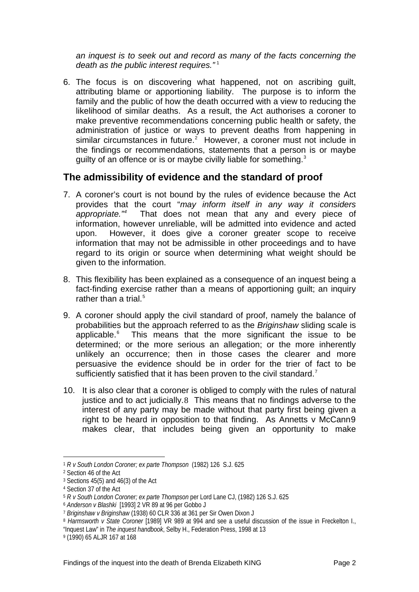<span id="page-3-0"></span>*an inquest is to seek out and record as many of the facts concerning the*  death as the public interest requires."<sup>[1](#page-3-1)</sup>

6. The focus is on discovering what happened, not on ascribing guilt, attributing blame or apportioning liability. The purpose is to inform the family and the public of how the death occurred with a view to reducing the likelihood of similar deaths. As a result, the Act authorises a coroner to make preventive recommendations concerning public health or safety, the administration of justice or ways to prevent deaths from happening in similar circumstances in future.<sup>[2](#page-3-2)</sup> However, a coroner must not include in the findings or recommendations, statements that a person is or maybe guilty of an offence or is or maybe civilly liable for something.<sup>[3](#page-3-3)</sup>

### **The admissibility of evidence and the standard of proof**

- 7. A coroner's court is not bound by the rules of evidence because the Act provides that the court "*may inform itself in any way it considers appropriate."[4](#page-3-4)* That does not mean that any and every piece of information, however unreliable, will be admitted into evidence and acted upon. However, it does give a coroner greater scope to receive information that may not be admissible in other proceedings and to have regard to its origin or source when determining what weight should be given to the information.
- 8. This flexibility has been explained as a consequence of an inquest being a fact-finding exercise rather than a means of apportioning guilt; an inquiry rather than a trial.<sup>[5](#page-3-5)</sup>
- 9. A coroner should apply the civil standard of proof, namely the balance of probabilities but the approach referred to as the *Briginshaw* sliding scale is applicable.<sup>[6](#page-3-6)</sup> This means that the more significant the issue to be determined; or the more serious an allegation; or the more inherently unlikely an occurrence; then in those cases the clearer and more persuasive the evidence should be in order for the trier of fact to be sufficiently satisfied that it has been proven to the civil standard.<sup>[7](#page-3-7)</sup>
- 10. It is also clear that a coroner is obliged to comply with the rules of natural justice and to act judicially, [8](#page-3-8) This means that no findings adverse to the interest of any party may be made without that party first being given a right to be heard in opposition to that finding. As Annetts v McCann[9](#page-3-9) makes clear, that includes being given an opportunity to make

l

<span id="page-3-1"></span><sup>1</sup> *R v South London Coroner; ex parte Thompson* (1982) 126 S.J. 625

<span id="page-3-2"></span><sup>2</sup> Section 46 of the Act

<span id="page-3-3"></span><sup>3</sup> Sections 45(5) and 46(3) of the Act

<sup>4</sup> Section 37 of the Act

<span id="page-3-5"></span><span id="page-3-4"></span><sup>5</sup> *R v South London Coroner; ex parte Thompson* per Lord Lane CJ, (1982) 126 S.J. 625

<span id="page-3-6"></span><sup>6</sup> *Anderson v Blashki* [1993] 2 VR 89 at 96 per Gobbo J

<span id="page-3-7"></span><sup>7</sup> *Briginshaw v Briginshaw* (1938) 60 CLR 336 at 361 per Sir Owen Dixon J

<span id="page-3-8"></span><sup>8</sup> *Harmsworth v State Coroner* [1989] VR 989 at 994 and see a useful discussion of the issue in Freckelton I., "Inquest Law" in *The inquest handbook*, Selby H., Federation Press, 1998 at 13

<span id="page-3-9"></span><sup>9 (1990) 65</sup> ALJR 167 at 168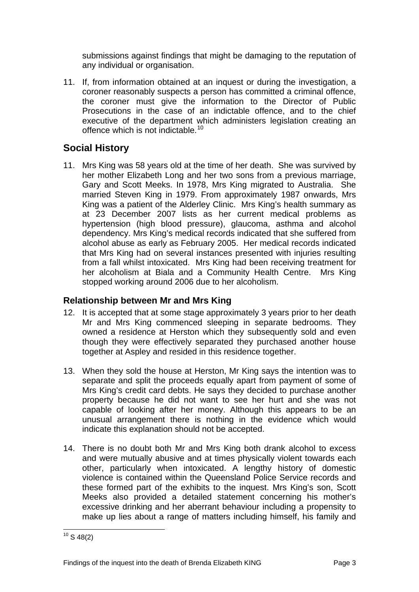<span id="page-4-0"></span>submissions against findings that might be damaging to the reputation of any individual or organisation.

11. If, from information obtained at an inquest or during the investigation, a coroner reasonably suspects a person has committed a criminal offence, the coroner must give the information to the Director of Public Prosecutions in the case of an indictable offence, and to the chief executive of the department which administers legislation creating an offence which is not indictable.<sup>[10](#page-4-1)</sup>

# **Social History**

11. Mrs King was 58 years old at the time of her death. She was survived by her mother Elizabeth Long and her two sons from a previous marriage, Gary and Scott Meeks. In 1978, Mrs King migrated to Australia. She married Steven King in 1979. From approximately 1987 onwards, Mrs King was a patient of the Alderley Clinic. Mrs King's health summary as at 23 December 2007 lists as her current medical problems as hypertension (high blood pressure), glaucoma, asthma and alcohol dependency. Mrs King's medical records indicated that she suffered from alcohol abuse as early as February 2005. Her medical records indicated that Mrs King had on several instances presented with injuries resulting from a fall whilst intoxicated. Mrs King had been receiving treatment for her alcoholism at Biala and a Community Health Centre. Mrs King stopped working around 2006 due to her alcoholism.

### **Relationship between Mr and Mrs King**

- 12. It is accepted that at some stage approximately 3 years prior to her death Mr and Mrs King commenced sleeping in separate bedrooms. They owned a residence at Herston which they subsequently sold and even though they were effectively separated they purchased another house together at Aspley and resided in this residence together.
- 13. When they sold the house at Herston, Mr King says the intention was to separate and split the proceeds equally apart from payment of some of Mrs King's credit card debts. He says they decided to purchase another property because he did not want to see her hurt and she was not capable of looking after her money. Although this appears to be an unusual arrangement there is nothing in the evidence which would indicate this explanation should not be accepted.
- 14. There is no doubt both Mr and Mrs King both drank alcohol to excess and were mutually abusive and at times physically violent towards each other, particularly when intoxicated. A lengthy history of domestic violence is contained within the Queensland Police Service records and these formed part of the exhibits to the inquest. Mrs King's son, Scott Meeks also provided a detailed statement concerning his mother's excessive drinking and her aberrant behaviour including a propensity to make up lies about a range of matters including himself, his family and

<span id="page-4-1"></span>l  $10$  S 48(2)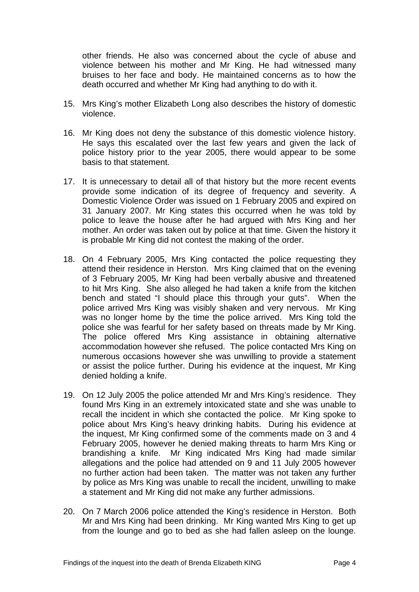other friends. He also was concerned about the cycle of abuse and violence between his mother and Mr King. He had witnessed many bruises to her face and body. He maintained concerns as to how the death occurred and whether Mr King had anything to do with it.

- 15. Mrs King's mother Elizabeth Long also describes the history of domestic violence.
- 16. Mr King does not deny the substance of this domestic violence history. He says this escalated over the last few years and given the lack of police history prior to the year 2005, there would appear to be some basis to that statement.
- 17. It is unnecessary to detail all of that history but the more recent events provide some indication of its degree of frequency and severity. A Domestic Violence Order was issued on 1 February 2005 and expired on 31 January 2007. Mr King states this occurred when he was told by police to leave the house after he had argued with Mrs King and her mother. An order was taken out by police at that time. Given the history it is probable Mr King did not contest the making of the order.
- 18. On 4 February 2005, Mrs King contacted the police requesting they attend their residence in Herston. Mrs King claimed that on the evening of 3 February 2005, Mr King had been verbally abusive and threatened to hit Mrs King. She also alleged he had taken a knife from the kitchen bench and stated "I should place this through your guts". When the police arrived Mrs King was visibly shaken and very nervous. Mr King was no longer home by the time the police arrived. Mrs King told the police she was fearful for her safety based on threats made by Mr King. The police offered Mrs King assistance in obtaining alternative accommodation however she refused. The police contacted Mrs King on numerous occasions however she was unwilling to provide a statement or assist the police further. During his evidence at the inquest, Mr King denied holding a knife.
- 19. On 12 July 2005 the police attended Mr and Mrs King's residence. They found Mrs King in an extremely intoxicated state and she was unable to recall the incident in which she contacted the police. Mr King spoke to police about Mrs King's heavy drinking habits. During his evidence at the inquest, Mr King confirmed some of the comments made on 3 and 4 February 2005, however he denied making threats to harm Mrs King or brandishing a knife. Mr King indicated Mrs King had made similar allegations and the police had attended on 9 and 11 July 2005 however no further action had been taken. The matter was not taken any further by police as Mrs King was unable to recall the incident, unwilling to make a statement and Mr King did not make any further admissions.
- 20. On 7 March 2006 police attended the King's residence in Herston. Both Mr and Mrs King had been drinking. Mr King wanted Mrs King to get up from the lounge and go to bed as she had fallen asleep on the lounge.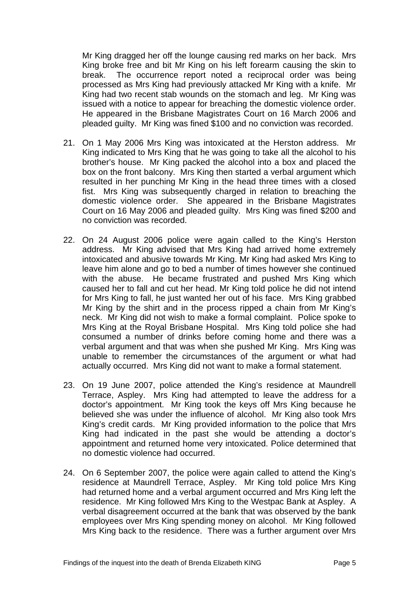Mr King dragged her off the lounge causing red marks on her back. Mrs King broke free and bit Mr King on his left forearm causing the skin to break. The occurrence report noted a reciprocal order was being processed as Mrs King had previously attacked Mr King with a knife. Mr King had two recent stab wounds on the stomach and leg. Mr King was issued with a notice to appear for breaching the domestic violence order. He appeared in the Brisbane Magistrates Court on 16 March 2006 and pleaded guilty. Mr King was fined \$100 and no conviction was recorded.

- 21. On 1 May 2006 Mrs King was intoxicated at the Herston address. Mr King indicated to Mrs King that he was going to take all the alcohol to his brother's house. Mr King packed the alcohol into a box and placed the box on the front balcony. Mrs King then started a verbal argument which resulted in her punching Mr King in the head three times with a closed fist. Mrs King was subsequently charged in relation to breaching the domestic violence order. She appeared in the Brisbane Magistrates Court on 16 May 2006 and pleaded guilty. Mrs King was fined \$200 and no conviction was recorded.
- 22. On 24 August 2006 police were again called to the King's Herston address. Mr King advised that Mrs King had arrived home extremely intoxicated and abusive towards Mr King. Mr King had asked Mrs King to leave him alone and go to bed a number of times however she continued with the abuse. He became frustrated and pushed Mrs King which caused her to fall and cut her head. Mr King told police he did not intend for Mrs King to fall, he just wanted her out of his face. Mrs King grabbed Mr King by the shirt and in the process ripped a chain from Mr King's neck. Mr King did not wish to make a formal complaint. Police spoke to Mrs King at the Royal Brisbane Hospital. Mrs King told police she had consumed a number of drinks before coming home and there was a verbal argument and that was when she pushed Mr King. Mrs King was unable to remember the circumstances of the argument or what had actually occurred. Mrs King did not want to make a formal statement.
- 23. On 19 June 2007, police attended the King's residence at Maundrell Terrace, Aspley. Mrs King had attempted to leave the address for a doctor's appointment. Mr King took the keys off Mrs King because he believed she was under the influence of alcohol. Mr King also took Mrs King's credit cards. Mr King provided information to the police that Mrs King had indicated in the past she would be attending a doctor's appointment and returned home very intoxicated. Police determined that no domestic violence had occurred.
- 24. On 6 September 2007, the police were again called to attend the King's residence at Maundrell Terrace, Aspley. Mr King told police Mrs King had returned home and a verbal argument occurred and Mrs King left the residence. Mr King followed Mrs King to the Westpac Bank at Aspley. A verbal disagreement occurred at the bank that was observed by the bank employees over Mrs King spending money on alcohol. Mr King followed Mrs King back to the residence. There was a further argument over Mrs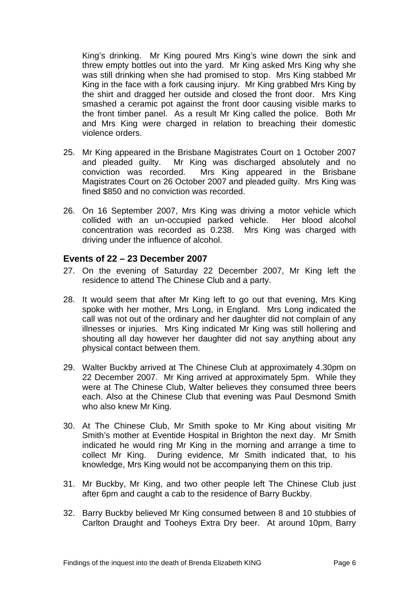<span id="page-7-0"></span>King's drinking. Mr King poured Mrs King's wine down the sink and threw empty bottles out into the yard. Mr King asked Mrs King why she was still drinking when she had promised to stop. Mrs King stabbed Mr King in the face with a fork causing injury. Mr King grabbed Mrs King by the shirt and dragged her outside and closed the front door. Mrs King smashed a ceramic pot against the front door causing visible marks to the front timber panel. As a result Mr King called the police. Both Mr and Mrs King were charged in relation to breaching their domestic violence orders.

- 25. Mr King appeared in the Brisbane Magistrates Court on 1 October 2007 and pleaded guilty. Mr King was discharged absolutely and no conviction was recorded. Mrs King appeared in the Brisbane Magistrates Court on 26 October 2007 and pleaded guilty. Mrs King was fined \$850 and no conviction was recorded.
- 26. On 16 September 2007, Mrs King was driving a motor vehicle which collided with an un-occupied parked vehicle. Her blood alcohol concentration was recorded as 0.238. Mrs King was charged with driving under the influence of alcohol.

#### **Events of 22 – 23 December 2007**

- 27. On the evening of Saturday 22 December 2007, Mr King left the residence to attend The Chinese Club and a party.
- 28. It would seem that after Mr King left to go out that evening, Mrs King spoke with her mother, Mrs Long, in England. Mrs Long indicated the call was not out of the ordinary and her daughter did not complain of any illnesses or injuries. Mrs King indicated Mr King was still hollering and shouting all day however her daughter did not say anything about any physical contact between them.
- 29. Walter Buckby arrived at The Chinese Club at approximately 4.30pm on 22 December 2007. Mr King arrived at approximately 5pm. While they were at The Chinese Club, Walter believes they consumed three beers each. Also at the Chinese Club that evening was Paul Desmond Smith who also knew Mr King.
- 30. At The Chinese Club, Mr Smith spoke to Mr King about visiting Mr Smith's mother at Eventide Hospital in Brighton the next day. Mr Smith indicated he would ring Mr King in the morning and arrange a time to collect Mr King. During evidence, Mr Smith indicated that, to his knowledge, Mrs King would not be accompanying them on this trip.
- 31. Mr Buckby, Mr King, and two other people left The Chinese Club just after 6pm and caught a cab to the residence of Barry Buckby.
- 32. Barry Buckby believed Mr King consumed between 8 and 10 stubbies of Carlton Draught and Tooheys Extra Dry beer. At around 10pm, Barry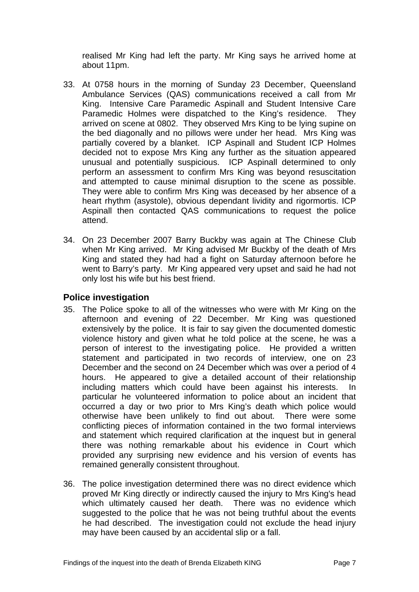<span id="page-8-0"></span>realised Mr King had left the party. Mr King says he arrived home at about 11pm.

- 33. At 0758 hours in the morning of Sunday 23 December, Queensland Ambulance Services (QAS) communications received a call from Mr King. Intensive Care Paramedic Aspinall and Student Intensive Care Paramedic Holmes were dispatched to the King's residence. They arrived on scene at 0802. They observed Mrs King to be lying supine on the bed diagonally and no pillows were under her head. Mrs King was partially covered by a blanket. ICP Aspinall and Student ICP Holmes decided not to expose Mrs King any further as the situation appeared unusual and potentially suspicious. ICP Aspinall determined to only perform an assessment to confirm Mrs King was beyond resuscitation and attempted to cause minimal disruption to the scene as possible. They were able to confirm Mrs King was deceased by her absence of a heart rhythm (asystole), obvious dependant lividity and rigormortis. ICP Aspinall then contacted QAS communications to request the police attend.
- 34. On 23 December 2007 Barry Buckby was again at The Chinese Club when Mr King arrived. Mr King advised Mr Buckby of the death of Mrs King and stated they had had a fight on Saturday afternoon before he went to Barry's party. Mr King appeared very upset and said he had not only lost his wife but his best friend.

#### **Police investigation**

- 35. The Police spoke to all of the witnesses who were with Mr King on the afternoon and evening of 22 December. Mr King was questioned extensively by the police. It is fair to say given the documented domestic violence history and given what he told police at the scene, he was a person of interest to the investigating police. He provided a written statement and participated in two records of interview, one on 23 December and the second on 24 December which was over a period of 4 hours. He appeared to give a detailed account of their relationship including matters which could have been against his interests. In particular he volunteered information to police about an incident that occurred a day or two prior to Mrs King's death which police would otherwise have been unlikely to find out about. There were some conflicting pieces of information contained in the two formal interviews and statement which required clarification at the inquest but in general there was nothing remarkable about his evidence in Court which provided any surprising new evidence and his version of events has remained generally consistent throughout.
- 36. The police investigation determined there was no direct evidence which proved Mr King directly or indirectly caused the injury to Mrs King's head which ultimately caused her death. There was no evidence which suggested to the police that he was not being truthful about the events he had described. The investigation could not exclude the head injury may have been caused by an accidental slip or a fall.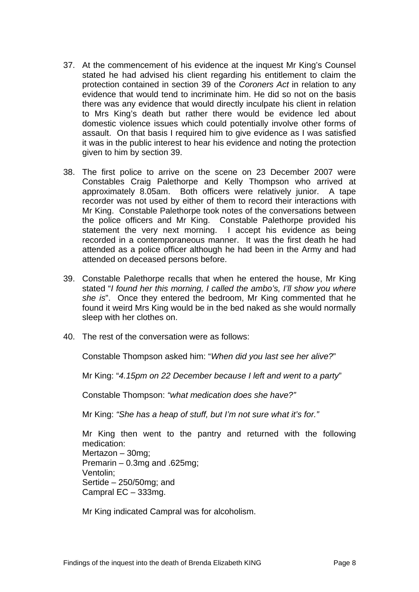- 37. At the commencement of his evidence at the inquest Mr King's Counsel stated he had advised his client regarding his entitlement to claim the protection contained in section 39 of the *Coroners Act* in relation to any evidence that would tend to incriminate him. He did so not on the basis there was any evidence that would directly inculpate his client in relation to Mrs King's death but rather there would be evidence led about domestic violence issues which could potentially involve other forms of assault. On that basis I required him to give evidence as I was satisfied it was in the public interest to hear his evidence and noting the protection given to him by section 39.
- 38. The first police to arrive on the scene on 23 December 2007 were Constables Craig Palethorpe and Kelly Thompson who arrived at approximately 8.05am. Both officers were relatively junior. A tape recorder was not used by either of them to record their interactions with Mr King. Constable Palethorpe took notes of the conversations between the police officers and Mr King. Constable Palethorpe provided his statement the very next morning. I accept his evidence as being recorded in a contemporaneous manner. It was the first death he had attended as a police officer although he had been in the Army and had attended on deceased persons before.
- 39. Constable Palethorpe recalls that when he entered the house, Mr King stated "*I found her this morning, I called the ambo's, I'll show you where she is*". Once they entered the bedroom, Mr King commented that he found it weird Mrs King would be in the bed naked as she would normally sleep with her clothes on.
- 40. The rest of the conversation were as follows:

Constable Thompson asked him: "*When did you last see her alive?*"

Mr King: "*4.15pm on 22 December because I left and went to a party*"

Constable Thompson: *"what medication does she have?"* 

Mr King: *"She has a heap of stuff, but I'm not sure what it's for."* 

Mr King then went to the pantry and returned with the following medication: Mertazon – 30mg; Premarin – 0.3mg and .625mg; Ventolin; Sertide – 250/50mg; and Campral EC – 333mg.

Mr King indicated Campral was for alcoholism.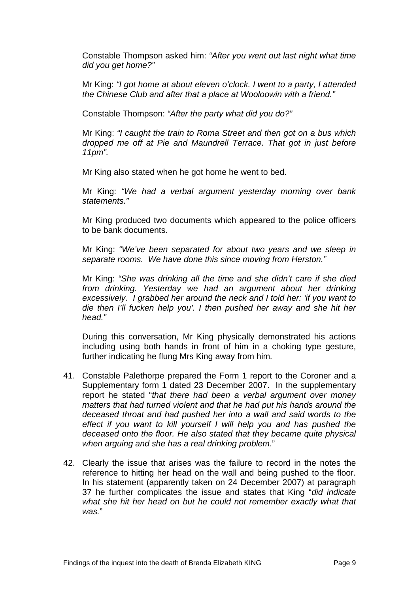Constable Thompson asked him: *"After you went out last night what time did you get home?"* 

Mr King: *"I got home at about eleven o'clock. I went to a party, I attended the Chinese Club and after that a place at Wooloowin with a friend."* 

Constable Thompson: *"After the party what did you do?"* 

Mr King: *"I caught the train to Roma Street and then got on a bus which dropped me off at Pie and Maundrell Terrace. That got in just before 11pm".*

Mr King also stated when he got home he went to bed.

Mr King: *"We had a verbal argument yesterday morning over bank statements."* 

Mr King produced two documents which appeared to the police officers to be bank documents.

Mr King: *"We've been separated for about two years and we sleep in separate rooms. We have done this since moving from Herston."* 

Mr King: *"She was drinking all the time and she didn't care if she died from drinking. Yesterday we had an argument about her drinking excessively. I grabbed her around the neck and I told her: 'if you want to die then I'll fucken help you'. I then pushed her away and she hit her head."* 

During this conversation, Mr King physically demonstrated his actions including using both hands in front of him in a choking type gesture, further indicating he flung Mrs King away from him*.* 

- 41. Constable Palethorpe prepared the Form 1 report to the Coroner and a Supplementary form 1 dated 23 December 2007. In the supplementary report he stated "*that there had been a verbal argument over money matters that had turned violent and that he had put his hands around the deceased throat and had pushed her into a wall and said words to the effect if you want to kill yourself I will help you and has pushed the deceased onto the floor. He also stated that they became quite physical when arguing and she has a real drinking problem*."
- 42. Clearly the issue that arises was the failure to record in the notes the reference to hitting her head on the wall and being pushed to the floor. In his statement (apparently taken on 24 December 2007) at paragraph 37 he further complicates the issue and states that King "*did indicate what she hit her head on but he could not remember exactly what that was.*"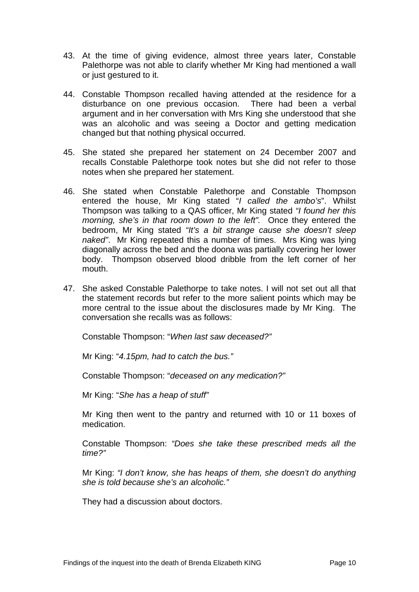- 43. At the time of giving evidence, almost three years later, Constable Palethorpe was not able to clarify whether Mr King had mentioned a wall or just gestured to it.
- 44. Constable Thompson recalled having attended at the residence for a disturbance on one previous occasion. There had been a verbal argument and in her conversation with Mrs King she understood that she was an alcoholic and was seeing a Doctor and getting medication changed but that nothing physical occurred.
- 45. She stated she prepared her statement on 24 December 2007 and recalls Constable Palethorpe took notes but she did not refer to those notes when she prepared her statement.
- 46. She stated when Constable Palethorpe and Constable Thompson entered the house, Mr King stated "*I called the ambo's*". Whilst Thompson was talking to a QAS officer, Mr King stated *"I found her this morning, she's in that room down to the left".* Once they entered the bedroom, Mr King stated *"It's a bit strange cause she doesn't sleep naked"*. Mr King repeated this a number of times. Mrs King was lying diagonally across the bed and the doona was partially covering her lower body. Thompson observed blood dribble from the left corner of her mouth.
- 47. She asked Constable Palethorpe to take notes. I will not set out all that the statement records but refer to the more salient points which may be more central to the issue about the disclosures made by Mr King. The conversation she recalls was as follows:

Constable Thompson: "*When last saw deceased?"* 

Mr King: "*4.15pm, had to catch the bus."* 

Constable Thompson: "*deceased on any medication?"* 

Mr King: "*She has a heap of stuff"* 

Mr King then went to the pantry and returned with 10 or 11 boxes of medication.

Constable Thompson: *"Does she take these prescribed meds all the time?"* 

Mr King: *"I don't know, she has heaps of them, she doesn't do anything she is told because she's an alcoholic."* 

They had a discussion about doctors.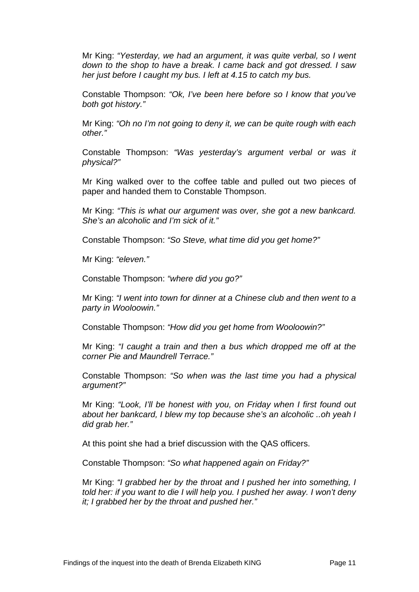Mr King: *"Yesterday, we had an argument, it was quite verbal, so I went down to the shop to have a break. I came back and got dressed. I saw her just before I caught my bus. I left at 4.15 to catch my bus.* 

Constable Thompson: *"Ok, I've been here before so I know that you've both got history."* 

Mr King: *"Oh no I'm not going to deny it, we can be quite rough with each other."* 

Constable Thompson: *"Was yesterday's argument verbal or was it physical?"* 

Mr King walked over to the coffee table and pulled out two pieces of paper and handed them to Constable Thompson.

Mr King: *"This is what our argument was over, she got a new bankcard. She's an alcoholic and I'm sick of it."* 

Constable Thompson: *"So Steve, what time did you get home?"*

Mr King: *"eleven."* 

Constable Thompson: *"where did you go?"* 

Mr King: *"I went into town for dinner at a Chinese club and then went to a party in Wooloowin."* 

Constable Thompson: *"How did you get home from Wooloowin?"* 

Mr King: *"I caught a train and then a bus which dropped me off at the corner Pie and Maundrell Terrace."* 

Constable Thompson: *"So when was the last time you had a physical argument?"* 

Mr King: *"Look, I'll be honest with you, on Friday when I first found out about her bankcard, I blew my top because she's an alcoholic ..oh yeah I did grab her."* 

At this point she had a brief discussion with the QAS officers.

Constable Thompson: *"So what happened again on Friday?"* 

Mr King: *"I grabbed her by the throat and I pushed her into something, I told her: if you want to die I will help you. I pushed her away. I won't deny it; I grabbed her by the throat and pushed her."*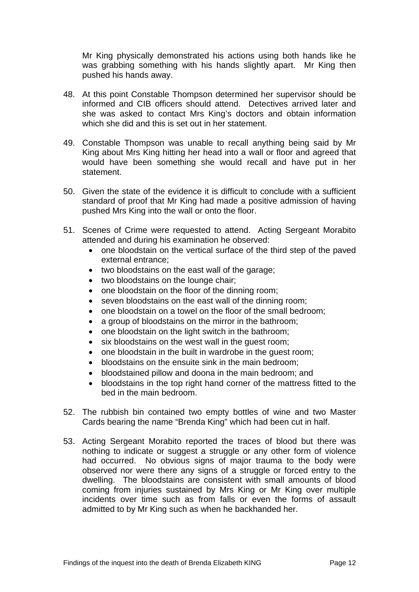Mr King physically demonstrated his actions using both hands like he was grabbing something with his hands slightly apart. Mr King then pushed his hands away.

- 48. At this point Constable Thompson determined her supervisor should be informed and CIB officers should attend. Detectives arrived later and she was asked to contact Mrs King's doctors and obtain information which she did and this is set out in her statement.
- 49. Constable Thompson was unable to recall anything being said by Mr King about Mrs King hitting her head into a wall or floor and agreed that would have been something she would recall and have put in her statement.
- 50. Given the state of the evidence it is difficult to conclude with a sufficient standard of proof that Mr King had made a positive admission of having pushed Mrs King into the wall or onto the floor.
- 51. Scenes of Crime were requested to attend. Acting Sergeant Morabito attended and during his examination he observed:
	- one bloodstain on the vertical surface of the third step of the paved external entrance;
	- two bloodstains on the east wall of the garage;
	- two bloodstains on the lounge chair;
	- one bloodstain on the floor of the dinning room;
	- seven bloodstains on the east wall of the dinning room;
	- one bloodstain on a towel on the floor of the small bedroom;
	- a group of bloodstains on the mirror in the bathroom:
	- one bloodstain on the light switch in the bathroom;
	- six bloodstains on the west wall in the guest room;
	- one bloodstain in the built in wardrobe in the quest room;
	- bloodstains on the ensuite sink in the main bedroom;
	- bloodstained pillow and doona in the main bedroom; and
	- bloodstains in the top right hand corner of the mattress fitted to the bed in the main bedroom.
- 52. The rubbish bin contained two empty bottles of wine and two Master Cards bearing the name "Brenda King" which had been cut in half.
- 53. Acting Sergeant Morabito reported the traces of blood but there was nothing to indicate or suggest a struggle or any other form of violence had occurred. No obvious signs of major trauma to the body were observed nor were there any signs of a struggle or forced entry to the dwelling. The bloodstains are consistent with small amounts of blood coming from injuries sustained by Mrs King or Mr King over multiple incidents over time such as from falls or even the forms of assault admitted to by Mr King such as when he backhanded her.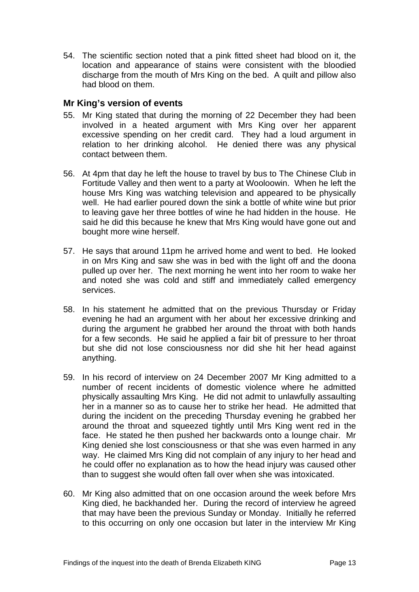<span id="page-14-0"></span>54. The scientific section noted that a pink fitted sheet had blood on it, the location and appearance of stains were consistent with the bloodied discharge from the mouth of Mrs King on the bed. A quilt and pillow also had blood on them.

#### **Mr King's version of events**

- 55. Mr King stated that during the morning of 22 December they had been involved in a heated argument with Mrs King over her apparent excessive spending on her credit card. They had a loud argument in relation to her drinking alcohol. He denied there was any physical contact between them.
- 56. At 4pm that day he left the house to travel by bus to The Chinese Club in Fortitude Valley and then went to a party at Wooloowin. When he left the house Mrs King was watching television and appeared to be physically well. He had earlier poured down the sink a bottle of white wine but prior to leaving gave her three bottles of wine he had hidden in the house. He said he did this because he knew that Mrs King would have gone out and bought more wine herself.
- 57. He says that around 11pm he arrived home and went to bed. He looked in on Mrs King and saw she was in bed with the light off and the doona pulled up over her. The next morning he went into her room to wake her and noted she was cold and stiff and immediately called emergency services.
- 58. In his statement he admitted that on the previous Thursday or Friday evening he had an argument with her about her excessive drinking and during the argument he grabbed her around the throat with both hands for a few seconds. He said he applied a fair bit of pressure to her throat but she did not lose consciousness nor did she hit her head against anything.
- 59. In his record of interview on 24 December 2007 Mr King admitted to a number of recent incidents of domestic violence where he admitted physically assaulting Mrs King. He did not admit to unlawfully assaulting her in a manner so as to cause her to strike her head. He admitted that during the incident on the preceding Thursday evening he grabbed her around the throat and squeezed tightly until Mrs King went red in the face. He stated he then pushed her backwards onto a lounge chair. Mr King denied she lost consciousness or that she was even harmed in any way. He claimed Mrs King did not complain of any injury to her head and he could offer no explanation as to how the head injury was caused other than to suggest she would often fall over when she was intoxicated.
- 60. Mr King also admitted that on one occasion around the week before Mrs King died, he backhanded her. During the record of interview he agreed that may have been the previous Sunday or Monday. Initially he referred to this occurring on only one occasion but later in the interview Mr King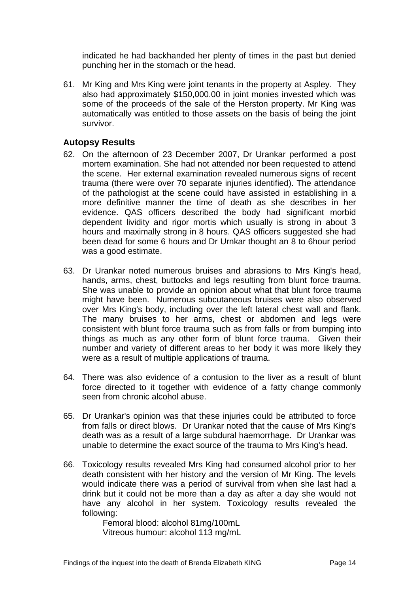<span id="page-15-0"></span>indicated he had backhanded her plenty of times in the past but denied punching her in the stomach or the head.

61. Mr King and Mrs King were joint tenants in the property at Aspley. They also had approximately \$150,000.00 in joint monies invested which was some of the proceeds of the sale of the Herston property. Mr King was automatically was entitled to those assets on the basis of being the joint survivor.

### **Autopsy Results**

- 62. On the afternoon of 23 December 2007, Dr Urankar performed a post mortem examination. She had not attended nor been requested to attend the scene. Her external examination revealed numerous signs of recent trauma (there were over 70 separate injuries identified). The attendance of the pathologist at the scene could have assisted in establishing in a more definitive manner the time of death as she describes in her evidence. QAS officers described the body had significant morbid dependent lividity and rigor mortis which usually is strong in about 3 hours and maximally strong in 8 hours. QAS officers suggested she had been dead for some 6 hours and Dr Urnkar thought an 8 to 6hour period was a good estimate.
- 63. Dr Urankar noted numerous bruises and abrasions to Mrs King's head, hands, arms, chest, buttocks and legs resulting from blunt force trauma. She was unable to provide an opinion about what that blunt force trauma might have been. Numerous subcutaneous bruises were also observed over Mrs King's body, including over the left lateral chest wall and flank. The many bruises to her arms, chest or abdomen and legs were consistent with blunt force trauma such as from falls or from bumping into things as much as any other form of blunt force trauma. Given their number and variety of different areas to her body it was more likely they were as a result of multiple applications of trauma.
- 64. There was also evidence of a contusion to the liver as a result of blunt force directed to it together with evidence of a fatty change commonly seen from chronic alcohol abuse.
- 65. Dr Urankar's opinion was that these injuries could be attributed to force from falls or direct blows. Dr Urankar noted that the cause of Mrs King's death was as a result of a large subdural haemorrhage. Dr Urankar was unable to determine the exact source of the trauma to Mrs King's head.
- 66. Toxicology results revealed Mrs King had consumed alcohol prior to her death consistent with her history and the version of Mr King. The levels would indicate there was a period of survival from when she last had a drink but it could not be more than a day as after a day she would not have any alcohol in her system. Toxicology results revealed the following:

 Femoral blood: alcohol 81mg/100mL Vitreous humour: alcohol 113 mg/mL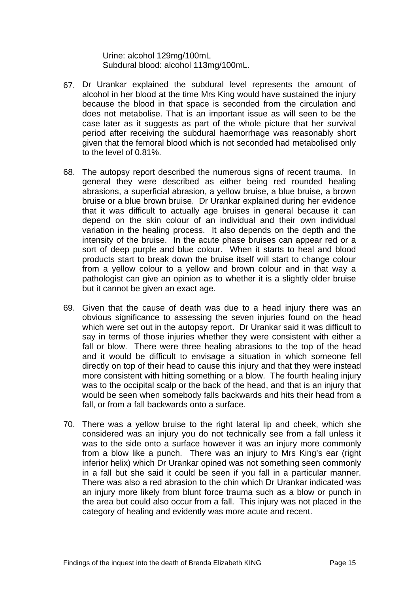Urine: alcohol 129mg/100mL Subdural blood: alcohol 113mg/100mL.

- 67. Dr Urankar explained the subdural level represents the amount of alcohol in her blood at the time Mrs King would have sustained the injury because the blood in that space is seconded from the circulation and does not metabolise. That is an important issue as will seen to be the case later as it suggests as part of the whole picture that her survival period after receiving the subdural haemorrhage was reasonably short given that the femoral blood which is not seconded had metabolised only to the level of 0.81%.
- 68. The autopsy report described the numerous signs of recent trauma. In general they were described as either being red rounded healing abrasions, a superficial abrasion, a yellow bruise, a blue bruise, a brown bruise or a blue brown bruise. Dr Urankar explained during her evidence that it was difficult to actually age bruises in general because it can depend on the skin colour of an individual and their own individual variation in the healing process. It also depends on the depth and the intensity of the bruise. In the acute phase bruises can appear red or a sort of deep purple and blue colour. When it starts to heal and blood products start to break down the bruise itself will start to change colour from a yellow colour to a yellow and brown colour and in that way a pathologist can give an opinion as to whether it is a slightly older bruise but it cannot be given an exact age.
- 69. Given that the cause of death was due to a head injury there was an obvious significance to assessing the seven injuries found on the head which were set out in the autopsy report. Dr Urankar said it was difficult to say in terms of those injuries whether they were consistent with either a fall or blow. There were three healing abrasions to the top of the head and it would be difficult to envisage a situation in which someone fell directly on top of their head to cause this injury and that they were instead more consistent with hitting something or a blow. The fourth healing injury was to the occipital scalp or the back of the head, and that is an injury that would be seen when somebody falls backwards and hits their head from a fall, or from a fall backwards onto a surface.
- 70. There was a yellow bruise to the right lateral lip and cheek, which she considered was an injury you do not technically see from a fall unless it was to the side onto a surface however it was an injury more commonly from a blow like a punch. There was an injury to Mrs King's ear (right inferior helix) which Dr Urankar opined was not something seen commonly in a fall but she said it could be seen if you fall in a particular manner. There was also a red abrasion to the chin which Dr Urankar indicated was an injury more likely from blunt force trauma such as a blow or punch in the area but could also occur from a fall. This injury was not placed in the category of healing and evidently was more acute and recent.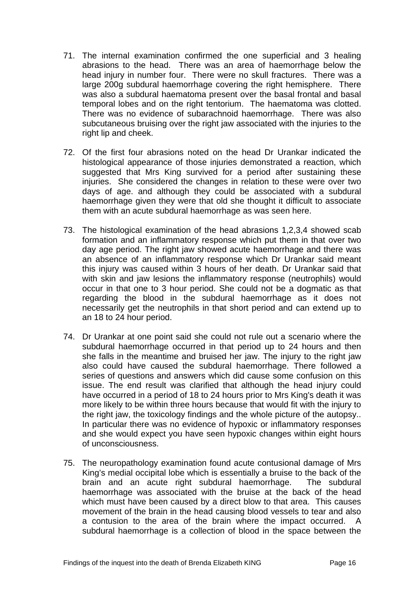- 71. The internal examination confirmed the one superficial and 3 healing abrasions to the head. There was an area of haemorrhage below the head injury in number four. There were no skull fractures. There was a large 200g subdural haemorrhage covering the right hemisphere. There was also a subdural haematoma present over the basal frontal and basal temporal lobes and on the right tentorium. The haematoma was clotted. There was no evidence of subarachnoid haemorrhage. There was also subcutaneous bruising over the right jaw associated with the injuries to the right lip and cheek.
- 72. Of the first four abrasions noted on the head Dr Urankar indicated the histological appearance of those injuries demonstrated a reaction, which suggested that Mrs King survived for a period after sustaining these injuries. She considered the changes in relation to these were over two days of age. and although they could be associated with a subdural haemorrhage given they were that old she thought it difficult to associate them with an acute subdural haemorrhage as was seen here.
- 73. The histological examination of the head abrasions 1,2,3,4 showed scab formation and an inflammatory response which put them in that over two day age period. The right jaw showed acute haemorrhage and there was an absence of an inflammatory response which Dr Urankar said meant this injury was caused within 3 hours of her death. Dr Urankar said that with skin and jaw lesions the inflammatory response (neutrophils) would occur in that one to 3 hour period. She could not be a dogmatic as that regarding the blood in the subdural haemorrhage as it does not necessarily get the neutrophils in that short period and can extend up to an 18 to 24 hour period.
- 74. Dr Urankar at one point said she could not rule out a scenario where the subdural haemorrhage occurred in that period up to 24 hours and then she falls in the meantime and bruised her jaw. The injury to the right jaw also could have caused the subdural haemorrhage. There followed a series of questions and answers which did cause some confusion on this issue. The end result was clarified that although the head injury could have occurred in a period of 18 to 24 hours prior to Mrs King's death it was more likely to be within three hours because that would fit with the injury to the right jaw, the toxicology findings and the whole picture of the autopsy.. In particular there was no evidence of hypoxic or inflammatory responses and she would expect you have seen hypoxic changes within eight hours of unconsciousness.
- 75. The neuropathology examination found acute contusional damage of Mrs King's medial occipital lobe which is essentially a bruise to the back of the brain and an acute right subdural haemorrhage. The subdural haemorrhage was associated with the bruise at the back of the head which must have been caused by a direct blow to that area. This causes movement of the brain in the head causing blood vessels to tear and also a contusion to the area of the brain where the impact occurred. A subdural haemorrhage is a collection of blood in the space between the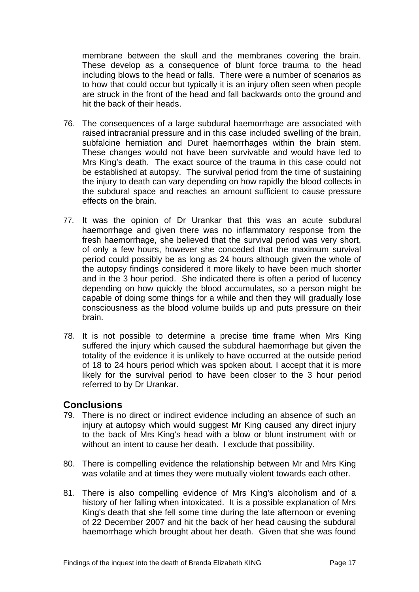<span id="page-18-0"></span>membrane between the skull and the membranes covering the brain. These develop as a consequence of blunt force trauma to the head including blows to the head or falls. There were a number of scenarios as to how that could occur but typically it is an injury often seen when people are struck in the front of the head and fall backwards onto the ground and hit the back of their heads.

- 76. The consequences of a large subdural haemorrhage are associated with raised intracranial pressure and in this case included swelling of the brain, subfalcine herniation and Duret haemorrhages within the brain stem. These changes would not have been survivable and would have led to Mrs King's death. The exact source of the trauma in this case could not be established at autopsy. The survival period from the time of sustaining the injury to death can vary depending on how rapidly the blood collects in the subdural space and reaches an amount sufficient to cause pressure effects on the brain.
- 77. It was the opinion of Dr Urankar that this was an acute subdural haemorrhage and given there was no inflammatory response from the fresh haemorrhage, she believed that the survival period was very short, of only a few hours, however she conceded that the maximum survival period could possibly be as long as 24 hours although given the whole of the autopsy findings considered it more likely to have been much shorter and in the 3 hour period. She indicated there is often a period of lucency depending on how quickly the blood accumulates, so a person might be capable of doing some things for a while and then they will gradually lose consciousness as the blood volume builds up and puts pressure on their brain.
- 78. It is not possible to determine a precise time frame when Mrs King suffered the injury which caused the subdural haemorrhage but given the totality of the evidence it is unlikely to have occurred at the outside period of 18 to 24 hours period which was spoken about. I accept that it is more likely for the survival period to have been closer to the 3 hour period referred to by Dr Urankar.

#### **Conclusions**

- 79. There is no direct or indirect evidence including an absence of such an injury at autopsy which would suggest Mr King caused any direct injury to the back of Mrs King's head with a blow or blunt instrument with or without an intent to cause her death. I exclude that possibility.
- 80. There is compelling evidence the relationship between Mr and Mrs King was volatile and at times they were mutually violent towards each other.
- 81. There is also compelling evidence of Mrs King's alcoholism and of a history of her falling when intoxicated. It is a possible explanation of Mrs King's death that she fell some time during the late afternoon or evening of 22 December 2007 and hit the back of her head causing the subdural haemorrhage which brought about her death. Given that she was found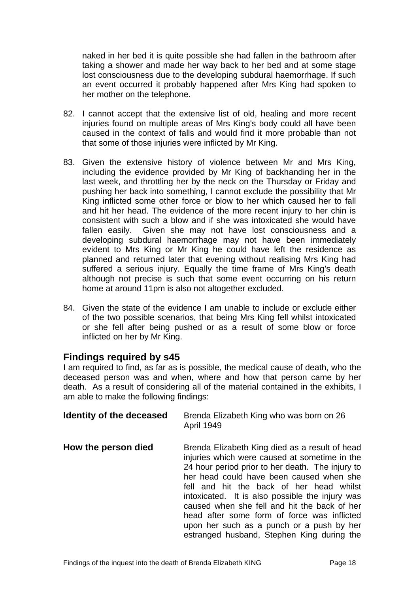<span id="page-19-0"></span>naked in her bed it is quite possible she had fallen in the bathroom after taking a shower and made her way back to her bed and at some stage lost consciousness due to the developing subdural haemorrhage. If such an event occurred it probably happened after Mrs King had spoken to her mother on the telephone.

- 82. I cannot accept that the extensive list of old, healing and more recent injuries found on multiple areas of Mrs King's body could all have been caused in the context of falls and would find it more probable than not that some of those injuries were inflicted by Mr King.
- 83. Given the extensive history of violence between Mr and Mrs King, including the evidence provided by Mr King of backhanding her in the last week, and throttling her by the neck on the Thursday or Friday and pushing her back into something, I cannot exclude the possibility that Mr King inflicted some other force or blow to her which caused her to fall and hit her head. The evidence of the more recent injury to her chin is consistent with such a blow and if she was intoxicated she would have fallen easily. Given she may not have lost consciousness and a developing subdural haemorrhage may not have been immediately evident to Mrs King or Mr King he could have left the residence as planned and returned later that evening without realising Mrs King had suffered a serious injury. Equally the time frame of Mrs King's death although not precise is such that some event occurring on his return home at around 11pm is also not altogether excluded.
- 84. Given the state of the evidence I am unable to include or exclude either of the two possible scenarios, that being Mrs King fell whilst intoxicated or she fell after being pushed or as a result of some blow or force inflicted on her by Mr King.

## **Findings required by s45**

I am required to find, as far as is possible, the medical cause of death, who the deceased person was and when, where and how that person came by her death. As a result of considering all of the material contained in the exhibits, I am able to make the following findings:

| Identity of the deceased | Brenda Elizabeth King who was born on 26<br><b>April 1949</b>                                                                                                                                                                                                                                                                                                                                                                                                                            |
|--------------------------|------------------------------------------------------------------------------------------------------------------------------------------------------------------------------------------------------------------------------------------------------------------------------------------------------------------------------------------------------------------------------------------------------------------------------------------------------------------------------------------|
| How the person died      | Brenda Elizabeth King died as a result of head<br>injuries which were caused at sometime in the<br>24 hour period prior to her death. The injury to<br>her head could have been caused when she<br>fell and hit the back of her head whilst<br>intoxicated. It is also possible the injury was<br>caused when she fell and hit the back of her<br>head after some form of force was inflicted<br>upon her such as a punch or a push by her<br>estranged husband, Stephen King during the |